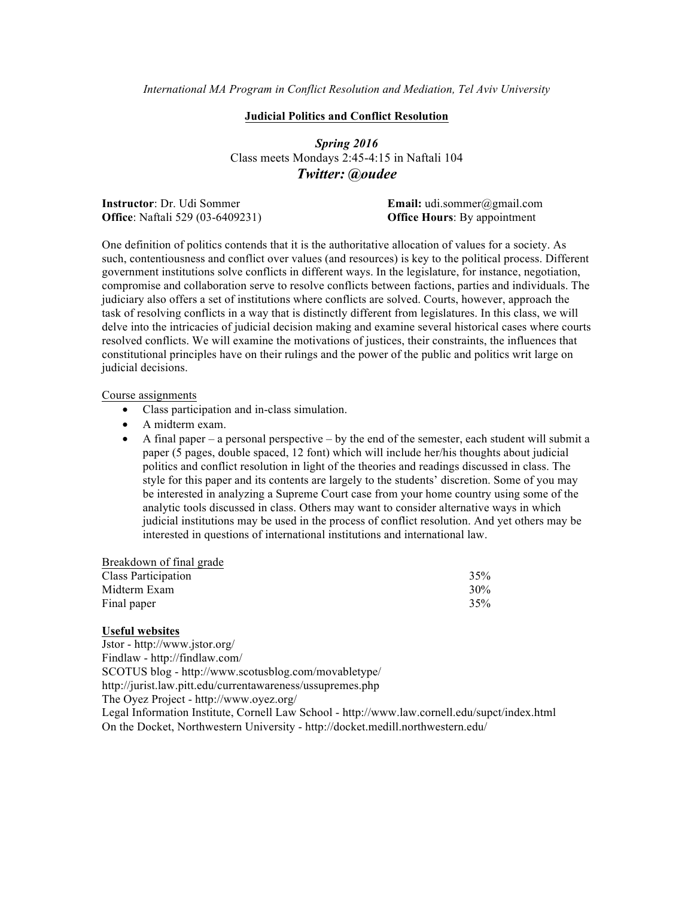*International MA Program in Conflict Resolution and Mediation, Tel Aviv University*

### **Judicial Politics and Conflict Resolution**

*Spring 2016* Class meets Mondays 2:45-4:15 in Naftali 104 *Twitter: @oudee*

**Instructor**: Dr. Udi Sommer **Email:** udi.sommer@gmail.com **Office**: Naftali 529 (03-6409231) **Office Hours**: By appointment

One definition of politics contends that it is the authoritative allocation of values for a society. As such, contentiousness and conflict over values (and resources) is key to the political process. Different government institutions solve conflicts in different ways. In the legislature, for instance, negotiation, compromise and collaboration serve to resolve conflicts between factions, parties and individuals. The judiciary also offers a set of institutions where conflicts are solved. Courts, however, approach the task of resolving conflicts in a way that is distinctly different from legislatures. In this class, we will delve into the intricacies of judicial decision making and examine several historical cases where courts resolved conflicts. We will examine the motivations of justices, their constraints, the influences that constitutional principles have on their rulings and the power of the public and politics writ large on judicial decisions.

#### Course assignments

- Class participation and in-class simulation.
- A midterm exam.
- A final paper a personal perspective by the end of the semester, each student will submit a paper (5 pages, double spaced, 12 font) which will include her/his thoughts about judicial politics and conflict resolution in light of the theories and readings discussed in class. The style for this paper and its contents are largely to the students' discretion. Some of you may be interested in analyzing a Supreme Court case from your home country using some of the analytic tools discussed in class. Others may want to consider alternative ways in which judicial institutions may be used in the process of conflict resolution. And yet others may be interested in questions of international institutions and international law.

| Breakdown of final grade |     |
|--------------------------|-----|
| Class Participation      | 35% |
| Midterm Exam             | 30% |
| Final paper              | 35% |

## **Useful websites**

Jstor - http://www.jstor.org/ Findlaw - http://findlaw.com/ SCOTUS blog - http://www.scotusblog.com/movabletype/ http://jurist.law.pitt.edu/currentawareness/ussupremes.php The Oyez Project - http://www.oyez.org/ Legal Information Institute, Cornell Law School - http://www.law.cornell.edu/supct/index.html

On the Docket, Northwestern University - http://docket.medill.northwestern.edu/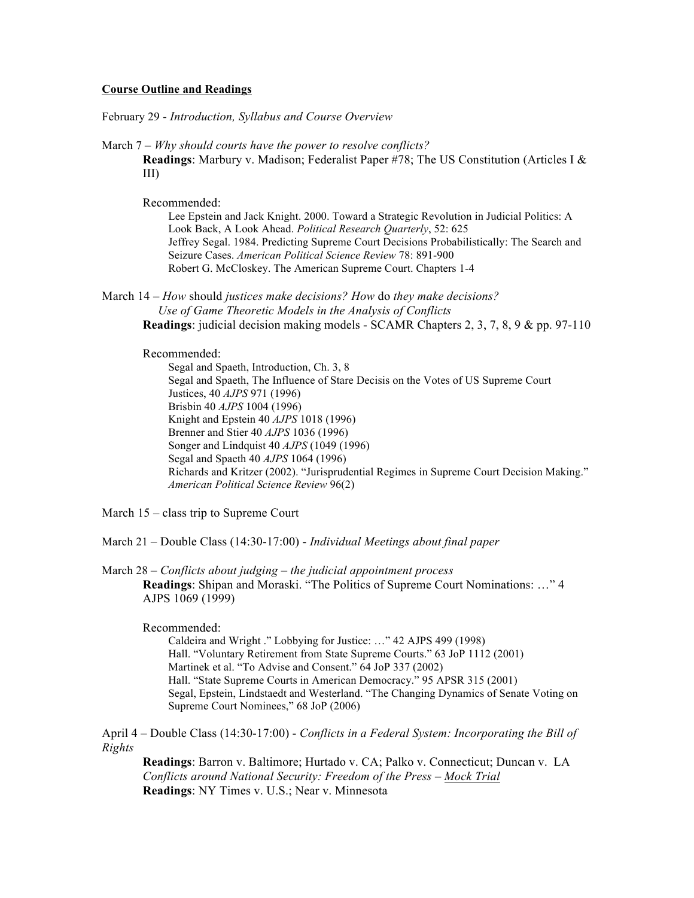#### **Course Outline and Readings**

February 29 - *Introduction, Syllabus and Course Overview*

March 7 – *Why should courts have the power to resolve conflicts?* **Readings**: Marbury v. Madison; Federalist Paper #78; The US Constitution (Articles I & III)

Recommended:

Lee Epstein and Jack Knight. 2000. Toward a Strategic Revolution in Judicial Politics: A Look Back, A Look Ahead. *Political Research Quarterly*, 52: 625 Jeffrey Segal. 1984. Predicting Supreme Court Decisions Probabilistically: The Search and Seizure Cases. *American Political Science Review* 78: 891-900 Robert G. McCloskey. The American Supreme Court. Chapters 1-4

March 14 – *How* should *justices make decisions? How* do *they make decisions? Use of Game Theoretic Models in the Analysis of Conflicts* **Readings**: judicial decision making models - SCAMR Chapters 2, 3, 7, 8, 9 & pp. 97-110

# Recommended:

Segal and Spaeth, Introduction, Ch. 3, 8 Segal and Spaeth, The Influence of Stare Decisis on the Votes of US Supreme Court Justices, 40 *AJPS* 971 (1996) Brisbin 40 *AJPS* 1004 (1996) Knight and Epstein 40 *AJPS* 1018 (1996) Brenner and Stier 40 *AJPS* 1036 (1996) Songer and Lindquist 40 *AJPS* (1049 (1996) Segal and Spaeth 40 *AJPS* 1064 (1996) Richards and Kritzer (2002). "Jurisprudential Regimes in Supreme Court Decision Making." *American Political Science Review* 96(2)

March 15 – class trip to Supreme Court

March 21 – Double Class (14:30-17:00) - *Individual Meetings about final paper*

March 28 – *Conflicts about judging – the judicial appointment process* **Readings**: Shipan and Moraski. "The Politics of Supreme Court Nominations: …" 4 AJPS 1069 (1999)

Recommended:

Caldeira and Wright ." Lobbying for Justice: …" 42 AJPS 499 (1998) Hall. "Voluntary Retirement from State Supreme Courts." 63 JoP 1112 (2001) Martinek et al. "To Advise and Consent." 64 JoP 337 (2002) Hall. "State Supreme Courts in American Democracy." 95 APSR 315 (2001) Segal, Epstein, Lindstaedt and Westerland. "The Changing Dynamics of Senate Voting on Supreme Court Nominees," 68 JoP (2006)

April 4 – Double Class (14:30-17:00) - *Conflicts in a Federal System: Incorporating the Bill of Rights*

**Readings**: Barron v. Baltimore; Hurtado v. CA; Palko v. Connecticut; Duncan v. LA *Conflicts around National Security: Freedom of the Press – Mock Trial* **Readings**: NY Times v. U.S.; Near v. Minnesota